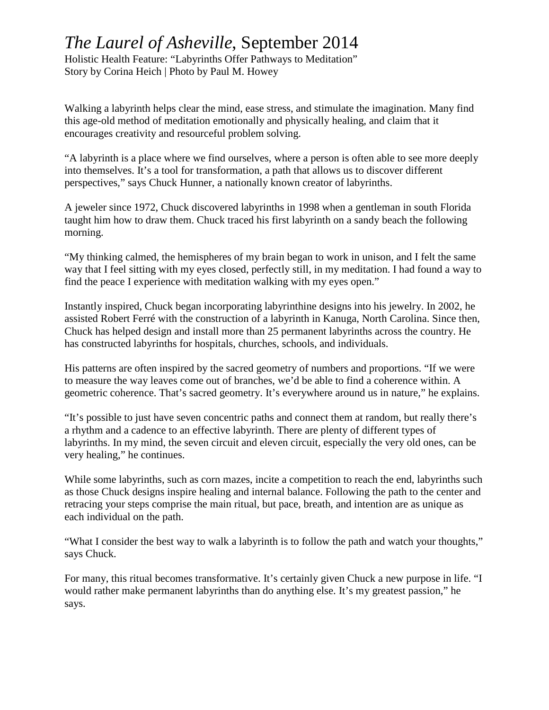## *The Laurel of Asheville*, September 2014

Holistic Health Feature: "Labyrinths Offer Pathways to Meditation" Story by Corina Heich | Photo by Paul M. Howey

Walking a labyrinth helps clear the mind, ease stress, and stimulate the imagination. Many find this age-old method of meditation emotionally and physically healing, and claim that it encourages creativity and resourceful problem solving.

"A labyrinth is a place where we find ourselves, where a person is often able to see more deeply into themselves. It's a tool for transformation, a path that allows us to discover different perspectives," says Chuck Hunner, a nationally known creator of labyrinths.

A jeweler since 1972, Chuck discovered labyrinths in 1998 when a gentleman in south Florida taught him how to draw them. Chuck traced his first labyrinth on a sandy beach the following morning.

"My thinking calmed, the hemispheres of my brain began to work in unison, and I felt the same way that I feel sitting with my eyes closed, perfectly still, in my meditation. I had found a way to find the peace I experience with meditation walking with my eyes open."

Instantly inspired, Chuck began incorporating labyrinthine designs into his jewelry. In 2002, he assisted Robert Ferré with the construction of a labyrinth in Kanuga, North Carolina. Since then, Chuck has helped design and install more than 25 permanent labyrinths across the country. He has constructed labyrinths for hospitals, churches, schools, and individuals.

His patterns are often inspired by the sacred geometry of numbers and proportions. "If we were to measure the way leaves come out of branches, we'd be able to find a coherence within. A geometric coherence. That's sacred geometry. It's everywhere around us in nature," he explains.

"It's possible to just have seven concentric paths and connect them at random, but really there's a rhythm and a cadence to an effective labyrinth. There are plenty of different types of labyrinths. In my mind, the seven circuit and eleven circuit, especially the very old ones, can be very healing," he continues.

While some labyrinths, such as corn mazes, incite a competition to reach the end, labyrinths such as those Chuck designs inspire healing and internal balance. Following the path to the center and retracing your steps comprise the main ritual, but pace, breath, and intention are as unique as each individual on the path.

"What I consider the best way to walk a labyrinth is to follow the path and watch your thoughts," says Chuck.

For many, this ritual becomes transformative. It's certainly given Chuck a new purpose in life. "I would rather make permanent labyrinths than do anything else. It's my greatest passion," he says.